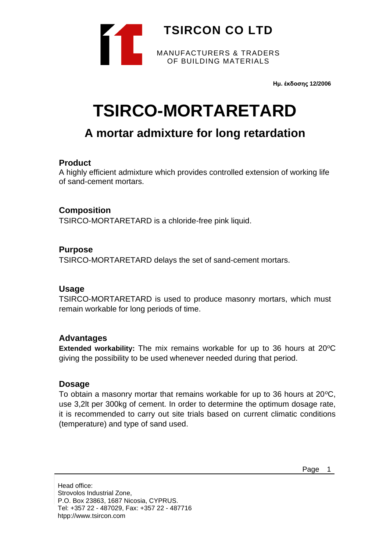

**Ημ. έκδοσης 12/2006**

# **TSIRCO-MORTARETARD**

# **A mortar admixture for long retardation**

# **Product**

A highly efficient admixture which provides controlled extension of working life of sand-cement mortars.

# **Composition**

TSIRCO-MORTARETARD is a chloride-free pink liquid.

# **Purpose**

TSIRCO-MORTARETARD delays the set of sand-cement mortars.

#### **Usage**

TSIRCO-MORTARETARD is used to produce masonry mortars, which must remain workable for long periods of time.

#### **Advantages**

**Extended workability:** The mix remains workable for up to 36 hours at 20<sup>o</sup>C giving the possibility to be used whenever needed during that period.

#### **Dosage**

To obtain a masonry mortar that remains workable for up to 36 hours at  $20^{\circ}$ C, use 3,2lt per 300kg of cement. In order to determine the optimum dosage rate, it is recommended to carry out site trials based on current climatic conditions (temperature) and type of sand used.

Page 1

Head office: Strovolos Industrial Zone, P.O. Box 23863, 1687 Nicosia, CYPRUS. Tel: +357 22 - 487029, Fax: +357 22 - 487716 htpp://www.tsircon.com